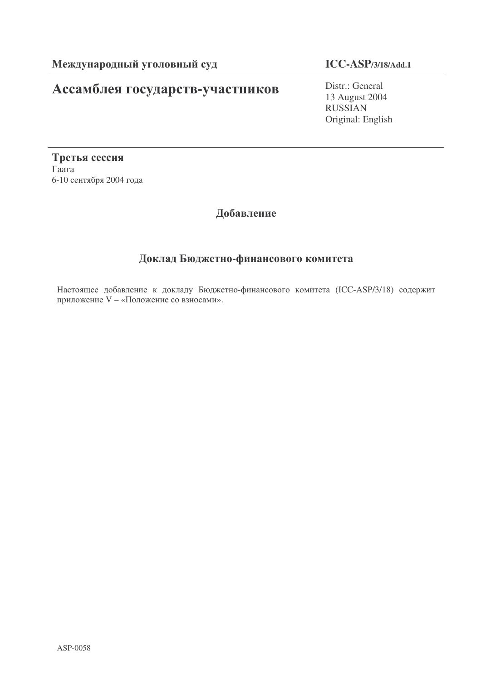# **Ассамблея государств-участников**

#### **ICC-ASP/3/18/Add.1**

Distr.: General 13 August 2004 RUSSIAN Original: English

Третья сессия  $\Gamma$ аага 6-10 сентября 2004 года

## Добавление

# Доклад Бюджетно-финансового комитета

Настоящее добавление к докладу Бюджетно-финансового комитета (ICC-ASP/3/18) содержит приложение V - «Положение со взносами».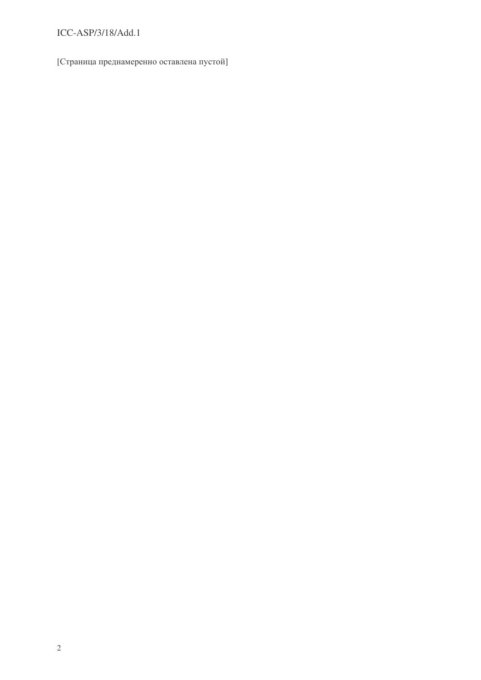## ICC-ASP/3/18/Add.1

[Страница преднамеренно оставлена пустой]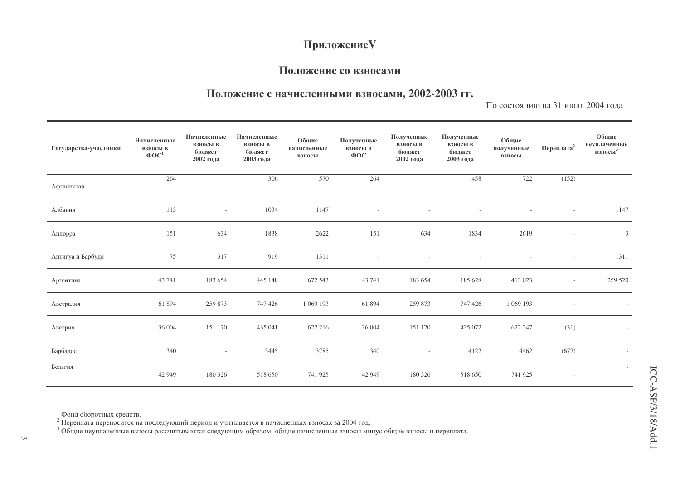#### ПриложениеV

#### Положение со взносами

#### Положение с начисленными взносами, 2002-2003 гг.

По состоянию на 31 июля 2004 года

| Государства-участники | Начисленные<br>взносы в<br>$\Phi O C^1$ | Начисленные<br>взносы в<br>бюджет<br>2002 года | Начисленные<br>взносы в<br>бюджет<br>2003 года | Общие<br>начисленные<br>взносы | Полученные<br>взносы в<br>$\Phi$ OC | Полученные<br>взносы в<br>бюджет<br>2002 года | Полученные<br>взносы в<br>бюджет<br>2003 года | Общие<br>полученные<br>взносы | Переплата <sup>2</sup>   | Общие<br>неуплаченные<br>взносы <sup>3</sup> |
|-----------------------|-----------------------------------------|------------------------------------------------|------------------------------------------------|--------------------------------|-------------------------------------|-----------------------------------------------|-----------------------------------------------|-------------------------------|--------------------------|----------------------------------------------|
| Афганистан            | 264                                     |                                                | 306                                            | 570                            | 264                                 |                                               | 458                                           | 722                           | (152)                    |                                              |
| Албания               | 113                                     | $\overline{\phantom{a}}$                       | 1034                                           | 1147                           |                                     |                                               |                                               |                               |                          | 1147                                         |
| Андорра               | 151                                     | 634                                            | 1838                                           | 2622                           | 151                                 | 634                                           | 1834                                          | 2619                          | $\sim$                   | 3                                            |
| Антигуа и Барбуда     | 75                                      | 317                                            | 919                                            | 1311                           |                                     |                                               |                                               |                               |                          | 1311                                         |
| Аргентина             | 43 741                                  | 183 654                                        | 445 148                                        | 672 543                        | 43 741                              | 183 654                                       | 185 628                                       | 413 023                       | $\overline{\phantom{a}}$ | 259 520                                      |
| Австралия             | 61 894                                  | 259 873                                        | 747 426                                        | 1 0 69 1 93                    | 61 894                              | 259 873                                       | 747 426                                       | 1 069 193                     |                          |                                              |
| Австрия               | 36 004                                  | 151 170                                        | 435 041                                        | 622 216                        | 36 004                              | 151 170                                       | 435 072                                       | 622 247                       | (31)                     | $\sim$                                       |
| Барбадос              | 340                                     | $\overline{\phantom{a}}$                       | 3445                                           | 3785                           | 340                                 | $\overline{\phantom{0}}$                      | 4122                                          | 4462                          | (677)                    |                                              |
| Бельгия               | 42 949                                  | 180 326                                        | 518 650                                        | 741 925                        | 42 949                              | 180 326                                       | 518 650                                       | 741 925                       |                          | $\sim$                                       |

<sup>&</sup>lt;sup>1</sup> Фонд оборотных средств.<br><sup>2</sup> Переплата переносится на последующий период и учитывается в начисленных взносах за 2004 год.<br><sup>3</sup> Общие неуплаченные взносы рассчитываются следующим образом: общие начисленные взносы минус о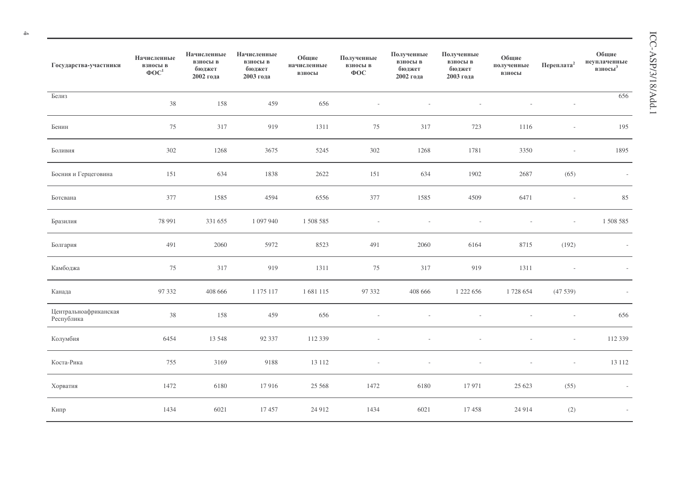| Государства-участники               | Начисленные<br>взносы в<br>$\Phi$ OC <sup>1</sup> | Начисленные<br>взносы в<br>бюджет<br>2002 года | Начисленные<br><b>ВЗНОСЫ В</b><br>бюджет<br>2003 года | Общие<br>начисленные<br>взносы | Полученные<br>взносы в<br>$\Phi$ OC | Полученные<br>взносы в<br>бюджет<br>2002 года | Полученные<br>взносы в<br>бюджет<br>2003 года | Общие<br>полученные<br>взносы | Переплата <sup>2</sup>   | Общие<br>неуплаченные<br>взносы <sup>3</sup> |
|-------------------------------------|---------------------------------------------------|------------------------------------------------|-------------------------------------------------------|--------------------------------|-------------------------------------|-----------------------------------------------|-----------------------------------------------|-------------------------------|--------------------------|----------------------------------------------|
| Белиз                               | 38                                                | 158                                            | 459                                                   | 656                            |                                     |                                               |                                               |                               |                          | 656                                          |
| Бенин                               | 75                                                | 317                                            | 919                                                   | 1311                           | 75                                  | 317                                           | 723                                           | 1116                          |                          | 195                                          |
| Боливия                             | $302\,$                                           | 1268                                           | 3675                                                  | 5245                           | 302                                 | 1268                                          | 1781                                          | 3350                          | $\overline{a}$           | 1895                                         |
| Босния и Герцеговина                | 151                                               | 634                                            | 1838                                                  | 2622                           | 151                                 | 634                                           | 1902                                          | 2687                          | (65)                     | ÷,                                           |
| Ботсвана                            | 377                                               | 1585                                           | 4594                                                  | 6556                           | 377                                 | 1585                                          | 4509                                          | 6471                          | $\overline{a}$           | 85                                           |
| Бразилия                            | 78 991                                            | 331 655                                        | 1 097 940                                             | 1 508 585                      |                                     |                                               |                                               |                               | $\overline{\phantom{a}}$ | 1 508 585                                    |
| Болгария                            | 491                                               | 2060                                           | 5972                                                  | 8523                           | 491                                 | 2060                                          | 6164                                          | 8715                          | (192)                    | $\overline{\phantom{a}}$                     |
| Камбоджа                            | 75                                                | 317                                            | 919                                                   | 1311                           | 75                                  | 317                                           | 919                                           | 1311                          |                          |                                              |
| Канада                              | 97 332                                            | 408 666                                        | 1 175 117                                             | 1681115                        | 97 332                              | 408 666                                       | 1 222 656                                     | 1728 654                      | (47539)                  |                                              |
| Центральноафриканская<br>Республика | 38                                                | 158                                            | 459                                                   | 656                            | $\overline{\phantom{a}}$            |                                               |                                               |                               |                          | 656                                          |
| Колумбия                            | 6454                                              | 13 548                                         | 92 337                                                | 112 339                        |                                     |                                               |                                               |                               | $\overline{\phantom{a}}$ | 112 339                                      |
| Коста-Рика                          | 755                                               | 3169                                           | 9188                                                  | 13 112                         |                                     |                                               |                                               |                               | $\sim$                   | 13 112                                       |
| Хорватия                            | 1472                                              | 6180                                           | 17916                                                 | 25 5 68                        | 1472                                | 6180                                          | 17971                                         | 25 623                        | (55)                     |                                              |
| Кипр                                | 1434                                              | 6021                                           | 17457                                                 | 24 9 12                        | 1434                                | 6021                                          | 17458                                         | 24 9 14                       | (2)                      | $\overline{\phantom{a}}$                     |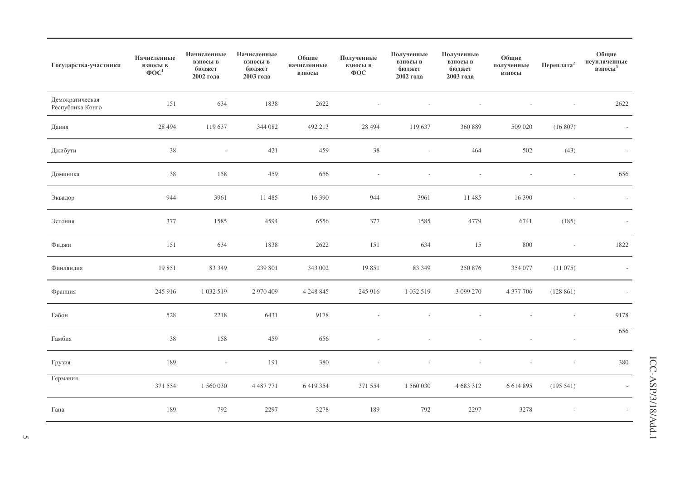| Государства-участники               | Начисленные<br>взносы в<br>$\Phi$ OC <sup>1</sup> | Начисленные<br>взносы в<br>бюджет<br>2002 года | Начисленные<br>взносы в<br>бюджет<br>2003 года | Общие<br>начисленные<br>взносы | Полученные<br>взносы в<br>$\Phi$ OC | Полученные<br>взносы в<br>бюджет<br>2002 года | Полученные<br>взносы в<br>бюджет<br>2003 года | Общие<br>полученные<br>взносы | Переплата <sup>2</sup> | Общие<br>неуплаченные<br>взносы <sup>3</sup> |
|-------------------------------------|---------------------------------------------------|------------------------------------------------|------------------------------------------------|--------------------------------|-------------------------------------|-----------------------------------------------|-----------------------------------------------|-------------------------------|------------------------|----------------------------------------------|
| Демократическая<br>Республика Конго | 151                                               | 634                                            | 1838                                           | 2622                           |                                     |                                               |                                               |                               |                        | 2622                                         |
| Дания                               | 28 4 94                                           | 119 637                                        | 344 082                                        | 492 213                        | 28 4 9 4                            | 119 637                                       | 360 889                                       | 509 020                       | (16807)                |                                              |
| Джибути                             | $38\,$                                            | L.                                             | 421                                            | 459                            | $38\,$                              | L.                                            | 464                                           | 502                           | (43)                   |                                              |
| Доминика                            | 38                                                | 158                                            | 459                                            | 656                            |                                     |                                               |                                               |                               |                        | 656                                          |
| Эквадор                             | 944                                               | 3961                                           | 11 4 8 5                                       | 16 390                         | 944                                 | 3961                                          | 11 4 8 5                                      | 16 390                        |                        |                                              |
| Эстония                             | 377                                               | 1585                                           | 4594                                           | 6556                           | 377                                 | 1585                                          | 4779                                          | 6741                          | (185)                  |                                              |
| Фиджи                               | 151                                               | 634                                            | 1838                                           | 2622                           | 151                                 | 634                                           | 15                                            | 800                           | $\sim$                 | 1822                                         |
| Финляндия                           | 19851                                             | 83 349                                         | 239 801                                        | 343 002                        | 19851                               | 83 349                                        | 250 876                                       | 354 077                       | (11075)                |                                              |
| Франция                             | 245 916                                           | 1 0 3 2 5 1 9                                  | 2 970 409                                      | 4 2 4 8 8 4 5                  | 245 916                             | 1 0 3 2 5 1 9                                 | 3 099 270                                     | 4 377 706                     | (128861)               |                                              |
| Габон                               | 528                                               | 2218                                           | 6431                                           | 9178                           |                                     |                                               |                                               |                               |                        | 9178                                         |
| Гамбия                              | 38                                                | 158                                            | 459                                            | 656                            |                                     |                                               |                                               |                               |                        | 656                                          |
| Грузия                              | 189                                               | $\frac{1}{2}$                                  | 191                                            | 380                            |                                     |                                               |                                               |                               |                        | 380                                          |
| Германия                            | 371 554                                           | 1 560 030                                      | 4 4 8 7 7 7 1                                  | 6 4 1 9 3 5 4                  | 371 554                             | 1 560 030                                     | 4 683 312                                     | 6 6 1 4 8 9 5                 | (195 541)              |                                              |
| Гана                                | 189                                               | 792                                            | 2297                                           | 3278                           | 189                                 | 792                                           | 2297                                          | 3278                          |                        |                                              |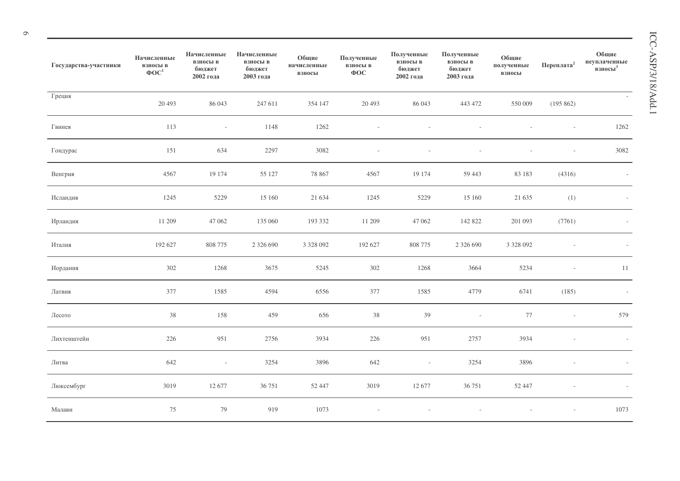| Государства-участники | Начисленные<br>взносы в<br>$\Phi$ OC <sup>1</sup> | Начисленные<br>взносы в<br>бюджет<br>2002 года | Начисленные<br>взносы в<br>бюджет<br>2003 года | Общие<br>начисленные<br>взносы | Полученные<br>взносы в<br>$\Phi$ OC | Полученные<br>взносы в<br>бюджет<br>2002 года | Полученные<br>взносы в<br>бюджет<br>2003 года | Общие<br>полученные<br>взносы | Переплата <sup>2</sup>   | Общие<br>неуплаченные<br>взносы <sup>3</sup> |
|-----------------------|---------------------------------------------------|------------------------------------------------|------------------------------------------------|--------------------------------|-------------------------------------|-----------------------------------------------|-----------------------------------------------|-------------------------------|--------------------------|----------------------------------------------|
| Греция                | 20 4 93                                           | 86 043                                         | 247 611                                        | 354 147                        | 20 4 93                             | 86 043                                        | 443 472                                       | 550 009                       | (195 862)                | $\sim$                                       |
| Гвинея                | 113                                               | $\overline{\phantom{a}}$                       | 1148                                           | 1262                           |                                     |                                               |                                               |                               |                          | 1262                                         |
| Гондурас              | 151                                               | 634                                            | 2297                                           | 3082                           | $\overline{\phantom{a}}$            | $\sim$                                        |                                               |                               |                          | 3082                                         |
| Венгрия               | 4567                                              | 19 174                                         | 55 127                                         | 78 867                         | 4567                                | 19 174                                        | 59 443                                        | 83 183                        | (4316)                   | r.                                           |
| Исландия              | 1245                                              | 5229                                           | 15 160                                         | 21 634                         | 1245                                | 5229                                          | 15 160                                        | 21 635                        | (1)                      |                                              |
| Ирландия              | 11 209                                            | 47 062                                         | 135 060                                        | 193 332                        | 11 209                              | 47 062                                        | 142 822                                       | 201 093                       | (7761)                   |                                              |
| Италия                | 192 627                                           | 808 775                                        | 2 3 2 6 6 9 0                                  | 3 3 2 8 0 9 2                  | 192 627                             | 808 775                                       | 2 3 2 6 6 9 0                                 | 3 3 2 8 0 9 2                 |                          |                                              |
| Иордания              | 302                                               | 1268                                           | 3675                                           | 5245                           | 302                                 | 1268                                          | 3664                                          | 5234                          | $\overline{\phantom{a}}$ | 11                                           |
| Латвия                | 377                                               | 1585                                           | 4594                                           | 6556                           | 377                                 | 1585                                          | 4779                                          | 6741                          | (185)                    | r.                                           |
| Лесото                | $38\,$                                            | 158                                            | 459                                            | 656                            | $38\,$                              | 39                                            |                                               | 77                            |                          | 579                                          |
| Лихтенштейн           | 226                                               | 951                                            | 2756                                           | 3934                           | 226                                 | 951                                           | 2757                                          | 3934                          | $\overline{\phantom{a}}$ |                                              |
| Литва                 | 642                                               | $\overline{\phantom{a}}$                       | 3254                                           | 3896                           | 642                                 | $\overline{\phantom{a}}$                      | 3254                                          | 3896                          | $\overline{\phantom{a}}$ |                                              |
| Люксембург            | 3019                                              | 12 677                                         | 36 751                                         | 52 447                         | 3019                                | 12 677                                        | 36 751                                        | 52 447                        |                          |                                              |
| Малави                | 75                                                | 79                                             | 919                                            | 1073                           |                                     |                                               |                                               |                               |                          | 1073                                         |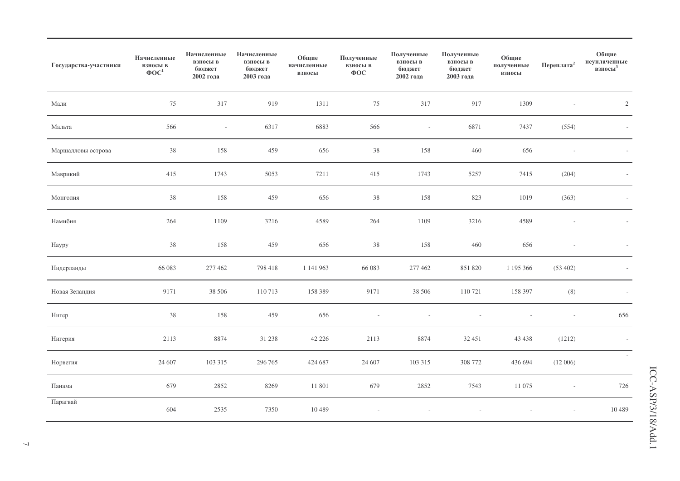| Государства-участники | Начисленные<br>взносы в<br>$\Phi$ OC <sup>1</sup> | Начисленные<br>взносы в<br>бюджет<br>2002 года | Начисленные<br>взносы в<br>бюджет<br>2003 года | Общие<br>начисленные<br>взносы | Полученные<br>взносы в<br>ФОС | Полученные<br>взносы в<br>бюджет<br>2002 года | Полученные<br>взносы в<br>бюджет<br>2003 года | Общие<br>полученные<br>взносы | Переплата <sup>2</sup>   | Общие<br>неуплаченные<br>взносы <sup>3</sup> |
|-----------------------|---------------------------------------------------|------------------------------------------------|------------------------------------------------|--------------------------------|-------------------------------|-----------------------------------------------|-----------------------------------------------|-------------------------------|--------------------------|----------------------------------------------|
| Мали                  | 75                                                | 317                                            | 919                                            | 1311                           | 75                            | 317                                           | 917                                           | 1309                          |                          | $\overline{2}$                               |
| Мальта                | 566                                               | ÷,                                             | 6317                                           | 6883                           | 566                           | $\overline{\phantom{a}}$                      | 6871                                          | 7437                          | (554)                    |                                              |
| Маршалловы острова    | 38                                                | 158                                            | 459                                            | 656                            | 38                            | 158                                           | 460                                           | 656                           |                          |                                              |
| Маврикий              | 415                                               | 1743                                           | 5053                                           | 7211                           | 415                           | 1743                                          | 5257                                          | 7415                          | (204)                    |                                              |
| Монголия              | 38                                                | 158                                            | 459                                            | 656                            | 38                            | 158                                           | 823                                           | 1019                          | (363)                    |                                              |
| Намибия               | 264                                               | 1109                                           | 3216                                           | 4589                           | 264                           | 1109                                          | 3216                                          | 4589                          |                          |                                              |
| Haypy                 | 38                                                | 158                                            | 459                                            | 656                            | 38                            | 158                                           | 460                                           | 656                           |                          |                                              |
| Нидерланды            | 66 083                                            | 277 462                                        | 798 418                                        | 1 141 963                      | 66 083                        | 277 462                                       | 851 820                                       | 1 195 366                     | (53 402)                 |                                              |
| Новая Зеландия        | 9171                                              | 38 506                                         | 110713                                         | 158 389                        | 9171                          | 38 506                                        | 110721                                        | 158 397                       | (8)                      |                                              |
| Нигер                 | $38\,$                                            | 158                                            | 459                                            | 656                            | $\overline{\phantom{a}}$      | L,                                            |                                               |                               | $\frac{1}{2}$            | 656                                          |
| Нигерия               | 2113                                              | 8874                                           | 31 238                                         | 42 2 2 6                       | 2113                          | 8874                                          | 32 451                                        | 43 4 38                       | (1212)                   | $\sim$                                       |
| Норвегия              | 24 607                                            | 103 315                                        | 296 765                                        | 424 687                        | 24 607                        | 103 315                                       | 308 772                                       | 436 694                       | (12006)                  | $\sim$                                       |
| Панама                | 679                                               | 2852                                           | 8269                                           | 11 801                         | 679                           | 2852                                          | 7543                                          | 11 075                        | $\overline{\phantom{a}}$ | 726                                          |
| Парагвай              | 604                                               | 2535                                           | 7350                                           | 10489                          |                               |                                               |                                               |                               | $\overline{\phantom{a}}$ | 10 4 89                                      |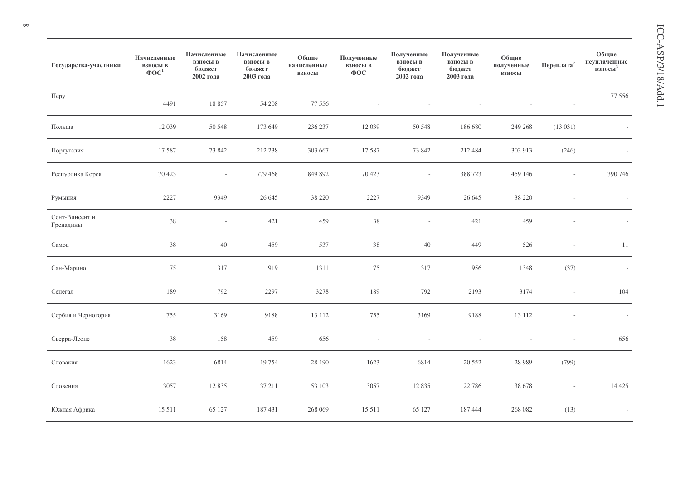ICC-ASP/3/18/Add.1

| Государства-участники       | Начисленные<br>взносы в<br>$\Phi O C^1$ | Начисленные<br>взносы в<br>бюджет<br>2002 года | Начисленные<br><b>ВЗНОСЫ В</b><br>бюджет<br>2003 года | Общие<br>начисленные<br>взносы | Полученные<br>взносы в<br>$\Phi$ OC | Полученные<br>взносы в<br>бюджет<br>2002 года | Полученные<br>взносы в<br>бюджет<br>2003 года | Общие<br>полученные<br>взносы | Переплата <sup>2</sup> | Общие<br>неуплаченные<br>взносы <sup>3</sup> |
|-----------------------------|-----------------------------------------|------------------------------------------------|-------------------------------------------------------|--------------------------------|-------------------------------------|-----------------------------------------------|-----------------------------------------------|-------------------------------|------------------------|----------------------------------------------|
| Перу                        | 4491                                    | 18 857                                         | 54 208                                                | 77 556                         |                                     |                                               |                                               |                               |                        | 77 556                                       |
| Польша                      | 12 039                                  | 50 548                                         | 173 649                                               | 236 237                        | 12 039                              | 50 548                                        | 186 680                                       | 249 268                       | (13031)                |                                              |
| Португалия                  | 17587                                   | 73 842                                         | 212 238                                               | 303 667                        | 17587                               | 73 842                                        | 212 484                                       | 303 913                       | (246)                  |                                              |
| Республика Корея            | 70 423                                  | $\overline{\phantom{a}}$                       | 779 468                                               | 849 892                        | 70 423                              | $\overline{\phantom{a}}$                      | 388 723                                       | 459 146                       |                        | 390 746                                      |
| Румыния                     | 2227                                    | 9349                                           | 26 645                                                | 38 220                         | 2227                                | 9349                                          | 26 645                                        | 38 220                        |                        |                                              |
| Сент-Винсент и<br>Гренадины | $38\,$                                  | $\overline{\phantom{a}}$                       | 421                                                   | 459                            | 38                                  |                                               | 421                                           | 459                           |                        |                                              |
| Самоа                       | $38\,$                                  | $40\,$                                         | 459                                                   | 537                            | $38\,$                              | $40\,$                                        | 449                                           | 526                           |                        | 11                                           |
| Сан-Марино                  | 75                                      | 317                                            | 919                                                   | 1311                           | 75                                  | 317                                           | 956                                           | 1348                          | (37)                   |                                              |
| Сенегал                     | 189                                     | 792                                            | 2297                                                  | 3278                           | 189                                 | 792                                           | 2193                                          | 3174                          |                        | 104                                          |
| Сербия и Черногория         | 755                                     | 3169                                           | 9188                                                  | 13 112                         | 755                                 | 3169                                          | 9188                                          | 13 112                        |                        |                                              |
| Сьерра-Леоне                | 38                                      | 158                                            | 459                                                   | 656                            | $\overline{\phantom{a}}$            |                                               | $\overline{a}$                                |                               |                        | 656                                          |
| Словакия                    | 1623                                    | 6814                                           | 19 754                                                | 28 190                         | 1623                                | 6814                                          | 20 5 5 2                                      | 28 9 89                       | (799)                  |                                              |
| Словения                    | 3057                                    | 12 8 35                                        | 37 211                                                | 53 103                         | 3057                                | 12 8 35                                       | 22 78 6                                       | 38 678                        |                        | 14 4 25                                      |
| Южная Африка                | 15 5 11                                 | 65 127                                         | 187431                                                | 268 069                        | 15 5 11                             | 65 127                                        | 187 444                                       | 268 082                       | (13)                   |                                              |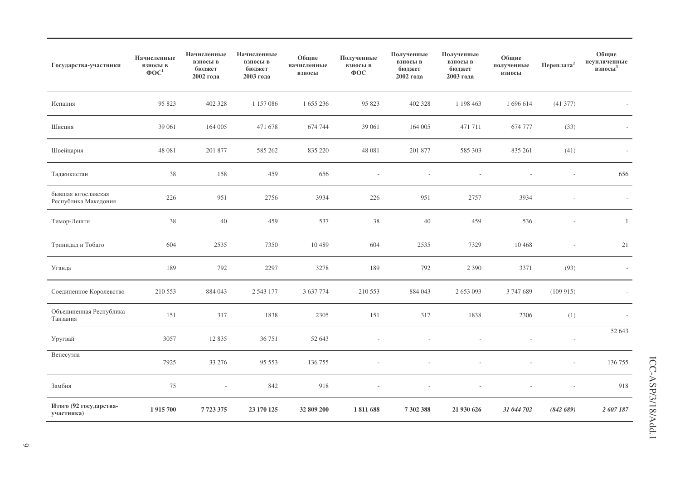| Государства-участники                      | Начисленные<br>взносы в<br>$\Phi$ OC <sup>1</sup> | Начисленные<br>взносы в<br>бюджет<br>2002 года | Начисленные<br><b>ВЗНОСЫ В</b><br>бюджет<br>2003 года | Общие<br>начисленные<br>взносы | Полученные<br>взносы в<br>$\Phi$ OC | Полученные<br>взносы в<br>бюджет<br>2002 года | Полученные<br>взносы в<br>бюджет<br>2003 года | Общие<br>полученные<br>взносы | Переплата <sup>2</sup>   | Общие<br>неуплаченные<br>взносы <sup>3</sup> |
|--------------------------------------------|---------------------------------------------------|------------------------------------------------|-------------------------------------------------------|--------------------------------|-------------------------------------|-----------------------------------------------|-----------------------------------------------|-------------------------------|--------------------------|----------------------------------------------|
| Испания                                    | 95 823                                            | 402 328                                        | 1 157 086                                             | 1 655 236                      | 95 823                              | 402 328                                       | 1 198 463                                     | 1 696 614                     | (41377)                  |                                              |
| Швеция                                     | 39 061                                            | 164 005                                        | 471 678                                               | 674 744                        | 39 061                              | 164 005                                       | 471 711                                       | 674 777                       | (33)                     |                                              |
| Швейцария                                  | 48 081                                            | 201 877                                        | 585 262                                               | 835 220                        | 48 081                              | 201 877                                       | 585 303                                       | 835 261                       | (41)                     |                                              |
| Таджикистан                                | 38                                                | 158                                            | 459                                                   | 656                            |                                     |                                               |                                               |                               |                          | 656                                          |
| бывшая югославская<br>Республика Македония | 226                                               | 951                                            | 2756                                                  | 3934                           | 226                                 | 951                                           | 2757                                          | 3934                          |                          |                                              |
| Тимор-Лешти                                | 38                                                | $40\,$                                         | 459                                                   | 537                            | 38                                  | 40                                            | 459                                           | 536                           |                          | 1                                            |
| Тринидад и Тобаго                          | 604                                               | 2535                                           | 7350                                                  | 10489                          | 604                                 | 2535                                          | 7329                                          | 10 4 68                       |                          | 21                                           |
| Уганда                                     | 189                                               | 792                                            | 2297                                                  | 3278                           | 189                                 | 792                                           | 2 3 9 0                                       | 3371                          | (93)                     |                                              |
| Соединенное Королевство                    | 210 553                                           | 884 043                                        | 2 5 4 3 1 7 7                                         | 3 637 774                      | 210 553                             | 884 043                                       | 2 653 093                                     | 3747689                       | (109915)                 |                                              |
| Объединенная Республика<br>Танзания        | 151                                               | 317                                            | 1838                                                  | 2305                           | 151                                 | 317                                           | 1838                                          | 2306                          | (1)                      | $\sim$                                       |
| Уругвай                                    | 3057                                              | 12 8 35                                        | 36 751                                                | 52 643                         |                                     |                                               |                                               |                               |                          | 52 643                                       |
| Венесуэла                                  | 7925                                              | 33 276                                         | 95 553                                                | 136 755                        | $\overline{a}$                      |                                               |                                               |                               | $\overline{\phantom{a}}$ | 136 755                                      |
| Замбия                                     | 75                                                |                                                | 842                                                   | 918                            |                                     |                                               |                                               |                               |                          | 918                                          |
| Итого (92 государства-<br>участника)       | 1915700                                           | 7723375                                        | 23 170 125                                            | 32 809 200                     | 1811688                             | 7 302 388                                     | 21 930 626                                    | 31 044 702                    | (842689)                 | 2 607 187                                    |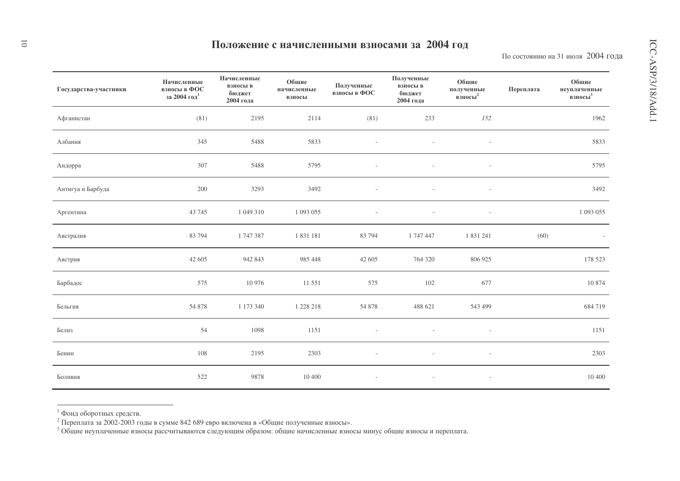#### Положение с начисленными взносами за 2004 год

По состоянию на 31 июля  $~2004~\rm{rog}$ а

| Государства-участники | Начисленные<br>взносы в ФОС<br>за 2004 год <sup>1</sup> | Начисленные<br>взносы в<br>бюджет<br>2004 года | Общие<br>начисленные<br>взносы | Полученные<br>взносы в ФОС | Полученные<br>взносы в<br>бюджет<br>2004 года | Общие<br>полученные<br>взносы <sup>2</sup> | Переплата | Общие<br>неуплаченные<br>взносы <sup>3</sup> |
|-----------------------|---------------------------------------------------------|------------------------------------------------|--------------------------------|----------------------------|-----------------------------------------------|--------------------------------------------|-----------|----------------------------------------------|
| Афганистан            | (81)                                                    | 2195                                           | 2114                           | (81)                       | 233                                           | 152                                        |           | 1962                                         |
| Албания               | 345                                                     | 5488                                           | 5833                           | $\overline{\phantom{a}}$   | $\overline{\phantom{a}}$                      | $\overline{\phantom{a}}$                   |           | 5833                                         |
| Андорра               | 307                                                     | 5488                                           | 5795                           |                            |                                               | $\overline{\phantom{a}}$                   |           | 5795                                         |
| Антигуа и Барбуда     | 200                                                     | 3293                                           | 3492                           |                            |                                               | $\overline{\phantom{a}}$                   |           | 3492                                         |
| Аргентина             | 43 745                                                  | 1 049 310                                      | 1 093 055                      |                            |                                               |                                            |           | 1 093 055                                    |
| Австралия             | 83 794                                                  | 1747387                                        | 1 8 3 1 1 8 1                  | 83 794                     | 1 747 447                                     | 1 831 241                                  | (60)      |                                              |
| Австрия               | 42 605                                                  | 942 843                                        | 985 448                        | 42 605                     | 764 320                                       | 806 925                                    |           | 178 523                                      |
| Барбадос              | 575                                                     | 10 976                                         | 11 551                         | 575                        | 102                                           | 677                                        |           | 10 874                                       |
| Бельгия               | 54 878                                                  | 1 173 340                                      | 1 228 218                      | 54 878                     | 488 621                                       | 543 499                                    |           | 684 719                                      |
| Белиз                 | 54                                                      | 1098                                           | 1151                           |                            |                                               | $\overline{\phantom{a}}$                   |           | 1151                                         |
| Бенин                 | 108                                                     | 2195                                           | 2303                           | $\sim$                     | $\overline{\phantom{a}}$                      | $\sim$                                     |           | 2303                                         |
| Боливия               | 522                                                     | 9878                                           | 10 400                         |                            |                                               | $\sim$                                     |           | 10 400                                       |

1 0

<sup>&</sup>lt;sup>1</sup> Фонд оборотных средств.<br><sup>2</sup> Переплата за 2002-2003 годы в сумме 842 689 евро включена в «Общие полученные взносы».<br><sup>3</sup> Общие неуплаченные взносы рассчитываются следующим образом: общие начисленные взносы минус общие в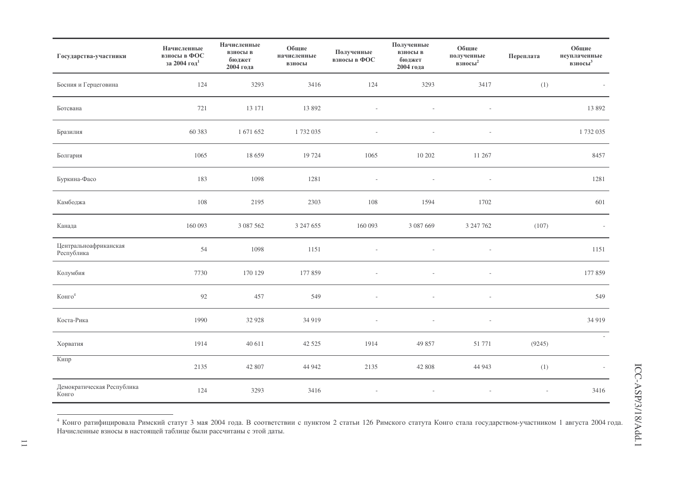| Государства-участники               | Начисленные<br>взносы в ФОС<br>за 2004 год <sup>1</sup> | Начисленные<br>взносы в<br>бюджет<br>2004 года | Общие<br>начисленные<br>взносы | Полученные<br>взносы в ФОС | Полученные<br>взносы в<br>бюджет<br>2004 года | Общие<br>полученные<br>взносы <sup>2</sup> | Переплата                | Общие<br>неуплаченные<br>взносы <sup>3</sup> |
|-------------------------------------|---------------------------------------------------------|------------------------------------------------|--------------------------------|----------------------------|-----------------------------------------------|--------------------------------------------|--------------------------|----------------------------------------------|
| Босния и Герцеговина                | 124                                                     | 3293                                           | 3416                           | 124                        | 3293                                          | 3417                                       | (1)                      |                                              |
| Ботсвана                            | 721                                                     | 13 17 1                                        | 13 892                         |                            |                                               | $\overline{\phantom{a}}$                   |                          | 13 892                                       |
| Бразилия                            | 60 383                                                  | 1 671 652                                      | 1732035                        |                            |                                               |                                            |                          | 1732035                                      |
| Болгария                            | 1065                                                    | 18 659                                         | 19 724                         | 1065                       | 10 202                                        | 11 267                                     |                          | 8457                                         |
| Буркина-Фасо                        | 183                                                     | 1098                                           | 1281                           | $\overline{\phantom{a}}$   | ٠                                             | $\overline{\phantom{a}}$                   |                          | 1281                                         |
| Камбоджа                            | 108                                                     | 2195                                           | 2303                           | 108                        | 1594                                          | 1702                                       |                          | 601                                          |
| Канада                              | 160 093                                                 | 3 087 562                                      | 3 247 655                      | 160 093                    | 3 087 669                                     | 3 247 762                                  | (107)                    | $\sim$                                       |
| Центральноафриканская<br>Республика | 54                                                      | 1098                                           | 1151                           | $\overline{\phantom{a}}$   |                                               |                                            |                          | 1151                                         |
| Колумбия                            | 7730                                                    | 170 129                                        | 177 859                        |                            |                                               |                                            |                          | 177 859                                      |
| Конго <sup>4</sup>                  | $92\,$                                                  | 457                                            | 549                            |                            |                                               |                                            |                          | 549                                          |
| Коста-Рика                          | 1990                                                    | 32 9 28                                        | 34 919                         |                            | $\sim$                                        | $\overline{\phantom{a}}$                   |                          | 34 919                                       |
| Хорватия                            | 1914                                                    | 40 611                                         | 42 5 25                        | 1914                       | 49 857                                        | 51 771                                     | (9245)                   | $\sim$                                       |
| Кипр                                | 2135                                                    | 42 807                                         | 44 942                         | 2135                       | 42 808                                        | 44 943                                     | (1)                      | $\sim$                                       |
| Демократическая Республика<br>Конго | 124                                                     | 3293                                           | 3416                           |                            |                                               |                                            | $\overline{\phantom{a}}$ | 3416                                         |

<sup>&</sup>lt;sup>4</sup> Конго ратифицировала Римский статут 3 мая 2004 года. В соответствии с пунктом 2 статьи 126 Римского статута Конго стала государством-участником 1 августа 2004 года.<br>Начисленные взносы в настоящей таблице были рассчита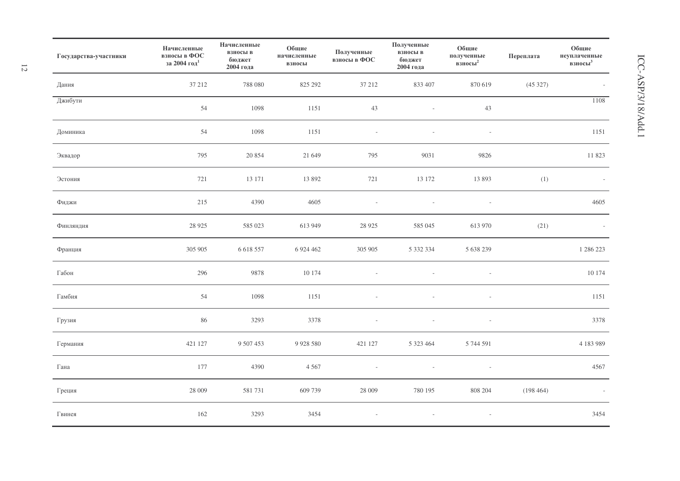| Государства-участники | Начисленные<br>взносы в ФОС<br>за 2004 год <sup>1</sup> | Начисленные<br>взносы в<br>бюджет<br>2004 года | Общие<br>начисленные<br>взносы | Полученные<br>взносы в ФОС | Полученные<br>взносы в<br>бюджет<br>2004 года | Общие<br>полученные<br>взносы <sup>2</sup> | Переплата | Общие<br>неуплаченные<br>взносы <sup>3</sup> |
|-----------------------|---------------------------------------------------------|------------------------------------------------|--------------------------------|----------------------------|-----------------------------------------------|--------------------------------------------|-----------|----------------------------------------------|
| Дания                 | 37 212                                                  | 788 080                                        | 825 292                        | 37 212                     | 833 407                                       | 870 619                                    | (45327)   |                                              |
| Джибути               | 54                                                      | 1098                                           | 1151                           | 43                         |                                               | 43                                         |           | 1108                                         |
| Доминика              | 54                                                      | 1098                                           | 1151                           |                            | ÷,                                            | L,                                         |           | 1151                                         |
| Эквадор               | 795                                                     | 20 854                                         | 21 649                         | 795                        | 9031                                          | 9826                                       |           | 11823                                        |
| Эстония               | 721                                                     | 13 17 1                                        | 13 892                         | 721                        | 13 172                                        | 13 893                                     | (1)       |                                              |
| Фиджи                 | 215                                                     | 4390                                           | 4605                           |                            |                                               | $\overline{a}$                             |           | 4605                                         |
| Финляндия             | 28 9 25                                                 | 585 023                                        | 613 949                        | 28 9 25                    | 585 045                                       | 613 970                                    | (21)      |                                              |
| Франция               | 305 905                                                 | 6 6 18 5 5 7                                   | 6 9 24 4 6 2                   | 305 905                    | 5 332 334                                     | 5 638 239                                  |           | 1 286 223                                    |
| Габон                 | 296                                                     | 9878                                           | 10 174                         |                            |                                               |                                            |           | 10 174                                       |
| Гамбия                | 54                                                      | 1098                                           | 1151                           |                            | ٠                                             | ÷,                                         |           | 1151                                         |
| Грузия                | $86\,$                                                  | 3293                                           | 3378                           |                            | $\overline{\phantom{a}}$                      | $\overline{a}$                             |           | 3378                                         |
| Германия              | 421 127                                                 | 9 507 453                                      | 9 9 28 5 80                    | 421 127                    | 5 323 464                                     | 5 744 591                                  |           | 4 183 989                                    |
| Гана                  | 177                                                     | 4390                                           | 4 5 6 7                        |                            |                                               |                                            |           | 4567                                         |
| Греция                | 28 009                                                  | 581731                                         | 609 739                        | 28 009                     | 780 195                                       | 808 204                                    | (198464)  |                                              |
| Гвинея                | 162                                                     | 3293                                           | 3454                           |                            |                                               | $\overline{a}$                             |           | 3454                                         |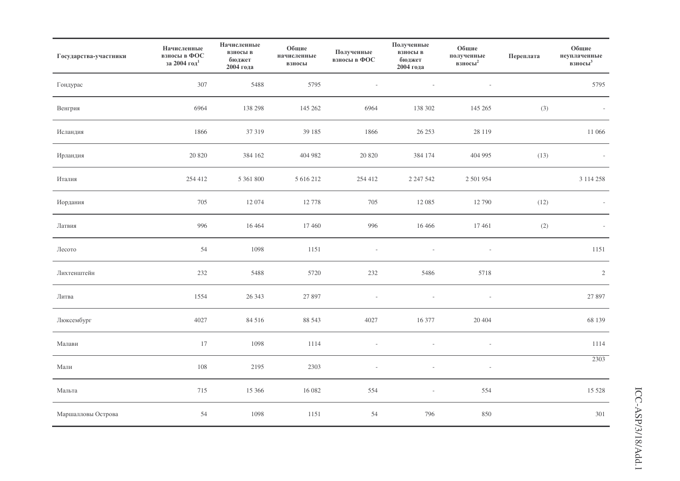| Государства-участники | Начисленные<br>взносы в ФОС<br>за 2004 год <sup>1</sup> | Начисленные<br>взносы в<br>бюджет<br>2004 года | Общие<br>начисленные<br>взносы | Полученные<br>взносы в ФОС | Полученные<br>взносы в<br>бюджет<br>2004 года | Общие<br>полученные<br>взносы <sup>2</sup> | Переплата | Общие<br>неуплаченные<br>взносы <sup>3</sup> |
|-----------------------|---------------------------------------------------------|------------------------------------------------|--------------------------------|----------------------------|-----------------------------------------------|--------------------------------------------|-----------|----------------------------------------------|
| Гондурас              | 307                                                     | 5488                                           | 5795                           | L,                         |                                               | $\overline{\phantom{a}}$                   |           | 5795                                         |
| Венгрия               | 6964                                                    | 138 298                                        | 145 262                        | 6964                       | 138 302                                       | 145 265                                    | (3)       |                                              |
| Исландия              | 1866                                                    | 37 319                                         | 39 185                         | 1866                       | 26 25 3                                       | 28 119                                     |           | 11 066                                       |
| Ирландия              | 20 8 20                                                 | 384 162                                        | 404 982                        | 20 8 20                    | 384 174                                       | 404 995                                    | (13)      |                                              |
| Италия                | 254 412                                                 | 5 361 800                                      | 5 616 212                      | 254 412                    | 2 247 542                                     | 2 501 954                                  |           | 3 1 1 4 2 5 8                                |
| Иордания              | 705                                                     | 12 074                                         | 12778                          | 705                        | 12 08 5                                       | 12 790                                     | (12)      |                                              |
| Латвия                | 996                                                     | 16 4 64                                        | 17 460                         | 996                        | 16 4 6 6                                      | 17461                                      | (2)       |                                              |
| Лесото                | 54                                                      | 1098                                           | 1151                           | ÷,                         |                                               | ÷,                                         |           | 1151                                         |
| Лихтенштейн           | 232                                                     | 5488                                           | 5720                           | 232                        | 5486                                          | 5718                                       |           | $\overline{2}$                               |
| Литва                 | 1554                                                    | 26 343                                         | 27 897                         | $\overline{a}$             |                                               | $\sim$                                     |           | 27 897                                       |
| Люксембург            | 4027                                                    | 84 516                                         | 88 543                         | 4027                       | 16 377                                        | 20 4 04                                    |           | 68 139                                       |
| Малави                | $17\,$                                                  | 1098                                           | 1114                           | $\overline{\phantom{a}}$   |                                               | $\overline{\phantom{a}}$                   |           | 1114                                         |
| Мали                  | 108                                                     | 2195                                           | 2303                           |                            |                                               | L,                                         |           | 2303                                         |
| Мальта                | 715                                                     | 15 36 6                                        | 16 082                         | 554                        |                                               | 554                                        |           | 15 5 28                                      |
| Маршалловы Острова    | 54                                                      | 1098                                           | 1151                           | 54                         | 796                                           | 850                                        |           | 301                                          |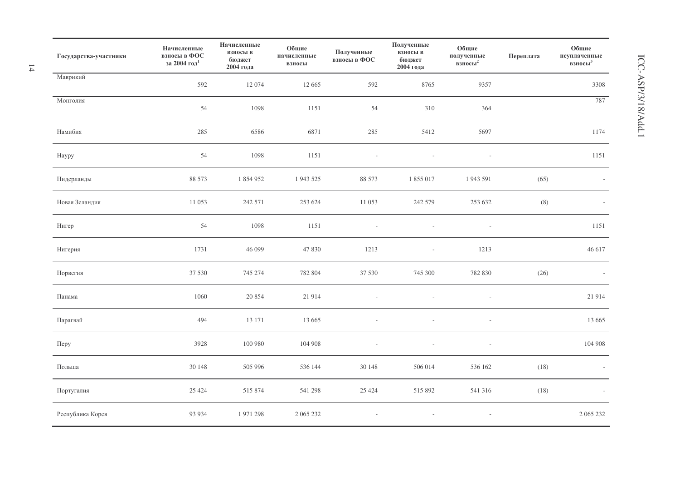| Государства-участники | Начисленные<br>взносы в ФОС<br>за 2004 год <sup>1</sup> | Начисленные<br>взносы в<br>бюджет<br>2004 года | Общие<br>начисленные<br>взносы | Полученные<br>взносы в ФОС | Полученные<br>взносы в<br>бюджет<br>2004 года | Общие<br>полученные<br>взносы <sup>2</sup> | Переплата | Общие<br>неуплаченные<br>взносы <sup>3</sup> |
|-----------------------|---------------------------------------------------------|------------------------------------------------|--------------------------------|----------------------------|-----------------------------------------------|--------------------------------------------|-----------|----------------------------------------------|
| Маврикий              | 592                                                     | 12 074                                         | 12 6 65                        | 592                        | 8765                                          | 9357                                       |           | 3308                                         |
| Монголия              | 54                                                      | 1098                                           | 1151                           | 54                         | 310                                           | 364                                        |           | 787                                          |
| Намибия               | 285                                                     | 6586                                           | 6871                           | 285                        | 5412                                          | 5697                                       |           | 1174                                         |
| Haypy                 | 54                                                      | 1098                                           | 1151                           |                            |                                               | $\overline{a}$                             |           | 1151                                         |
| Нидерланды            | 88 573                                                  | 1 854 952                                      | 1 943 525                      | 88 573                     | 1 855 017                                     | 1943 591                                   | (65)      |                                              |
| Новая Зеландия        | 11 053                                                  | 242 571                                        | 253 624                        | 11 053                     | 242 579                                       | 253 632                                    | (8)       |                                              |
| Нигер                 | 54                                                      | 1098                                           | 1151                           |                            | ٠                                             | $\sim$                                     |           | 1151                                         |
| Нигерия               | 1731                                                    | 46 099                                         | 47830                          | 1213                       | $\overline{\phantom{a}}$                      | 1213                                       |           | 46 617                                       |
| Норвегия              | 37 530                                                  | 745 274                                        | 782 804                        | 37 530                     | 745 300                                       | 782 830                                    | (26)      |                                              |
| Панама                | 1060                                                    | 20 854                                         | 21914                          |                            | $\overline{a}$                                | L,                                         |           | 21914                                        |
| Парагвай              | 494                                                     | 13 17 1                                        | 13 6 65                        |                            |                                               | L,                                         |           | 13 6 65                                      |
| Перу                  | 3928                                                    | 100 980                                        | 104 908                        |                            |                                               |                                            |           | 104 908                                      |
| Польша                | 30 148                                                  | 505 996                                        | 536 144                        | 30 148                     | 506 014                                       | 536 162                                    | (18)      |                                              |
| Португалия            | 25 4 24                                                 | 515 874                                        | 541 298                        | 25 4 24                    | 515 892                                       | 541 316                                    | (18)      |                                              |
| Республика Корея      | 93 9 34                                                 | 1971298                                        | 2 065 232                      |                            |                                               |                                            |           | 2 065 232                                    |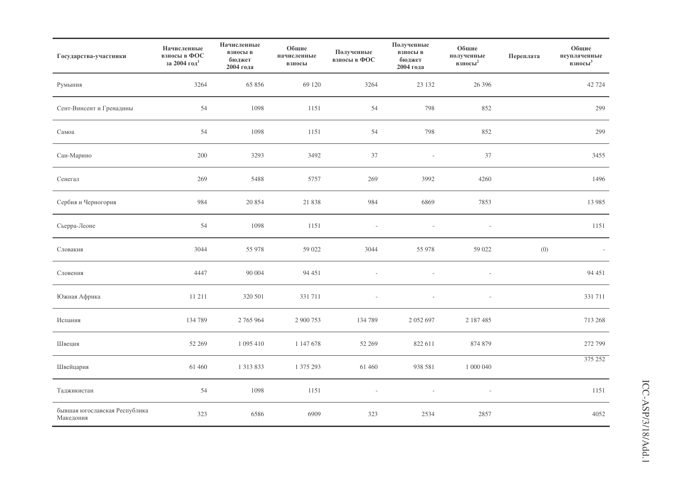| Государства-участники                      | Начисленные<br>взносы в ФОС<br>за 2004 год <sup>1</sup> | Начисленные<br>взносы в<br>бюджет<br>2004 года | ${\bf O6}$ щие<br>начисленные<br>взносы | Полученные<br>взносы в ФОС | Полученные<br>взносы в<br>бюджет<br>2004 года | Общие<br>полученные<br>взносы <sup>2</sup> | Переплата | Общие<br>неуплаченные<br>взносы <sup>3</sup> |
|--------------------------------------------|---------------------------------------------------------|------------------------------------------------|-----------------------------------------|----------------------------|-----------------------------------------------|--------------------------------------------|-----------|----------------------------------------------|
| Румыния                                    | 3264                                                    | 65 856                                         | 69 120                                  | 3264                       | 23 132                                        | 26 39 6                                    |           | 42 7 24                                      |
| Сент-Винсент и Гренадины                   | 54                                                      | 1098                                           | 1151                                    | 54                         | 798                                           | 852                                        |           | 299                                          |
| Самоа                                      | 54                                                      | 1098                                           | 1151                                    | 54                         | 798                                           | 852                                        |           | 299                                          |
| Сан-Марино                                 | 200                                                     | 3293                                           | 3492                                    | 37                         |                                               | 37                                         |           | 3455                                         |
| Сенегал                                    | 269                                                     | 5488                                           | 5757                                    | 269                        | 3992                                          | 4260                                       |           | 1496                                         |
| Сербия и Черногория                        | 984                                                     | 20 854                                         | 21 838                                  | 984                        | 6869                                          | 7853                                       |           | 13 9 85                                      |
| Сьерра-Леоне                               | 54                                                      | 1098                                           | 1151                                    |                            |                                               | ÷,                                         |           | 1151                                         |
| Словакия                                   | 3044                                                    | 55 978                                         | 59 022                                  | 3044                       | 55 978                                        | 59 022                                     | (0)       |                                              |
| Словения                                   | 4447                                                    | 90 004                                         | 94 451                                  |                            |                                               |                                            |           | 94 451                                       |
| Южная Африка                               | 11 211                                                  | 320 501                                        | 331 711                                 |                            |                                               |                                            |           | 331 711                                      |
| Испания                                    | 134 789                                                 | 2 765 964                                      | 2 900 753                               | 134 789                    | 2 052 697                                     | 2 187 485                                  |           | 713 268                                      |
| Швеция                                     | 52 269                                                  | 1 095 410                                      | 1 147 678                               | 52 269                     | 822 611                                       | 874 879                                    |           | 272 799                                      |
| Швейцария                                  | 61 460                                                  | 1 3 1 3 8 3 3                                  | 1 375 293                               | 61 460                     | 938 581                                       | 1 000 040                                  |           | 375 252                                      |
| Таджикистан                                | 54                                                      | 1098                                           | 1151                                    |                            |                                               | $\sim$                                     |           | 1151                                         |
| бывшая югославская Республика<br>Македония | 323                                                     | 6586                                           | 6909                                    | 323                        | 2534                                          | 2857                                       |           | 4052                                         |